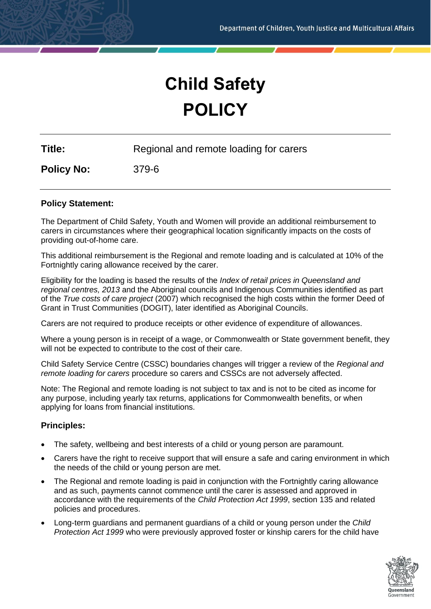# **Child Safety POLICY**

**Title:** Regional and remote loading for carers

**Policy No:** 379-6

## **Policy Statement:**

The Department of Child Safety, Youth and Women will provide an additional reimbursement to carers in circumstances where their geographical location significantly impacts on the costs of providing out-of-home care.

This additional reimbursement is the Regional and remote loading and is calculated at 10% of the Fortnightly caring allowance received by the carer.

Eligibility for the loading is based the results of the *Index of retail prices in Queensland and regional centres, 2013* and the Aboriginal councils and Indigenous Communities identified as part of the *True costs of care project* (2007) which recognised the high costs within the former Deed of Grant in Trust Communities (DOGIT), later identified as Aboriginal Councils.

Carers are not required to produce receipts or other evidence of expenditure of allowances.

Where a young person is in receipt of a wage, or Commonwealth or State government benefit, they will not be expected to contribute to the cost of their care.

Child Safety Service Centre (CSSC) boundaries changes will trigger a review of the *Regional and remote loading for carers* procedure so carers and CSSCs are not adversely affected.

Note: The Regional and remote loading is not subject to tax and is not to be cited as income for any purpose, including yearly tax returns, applications for Commonwealth benefits, or when applying for loans from financial institutions.

## **Principles:**

- The safety, wellbeing and best interests of a child or young person are paramount.
- Carers have the right to receive support that will ensure a safe and caring environment in which the needs of the child or young person are met.
- The Regional and remote loading is paid in conjunction with the Fortnightly caring allowance and as such, payments cannot commence until the carer is assessed and approved in accordance with the requirements of the *Child Protection Act 1999*, section 135 and related policies and procedures.
- Long-term guardians and permanent guardians of a child or young person under the *Child Protection Act 1999* who were previously approved foster or kinship carers for the child have

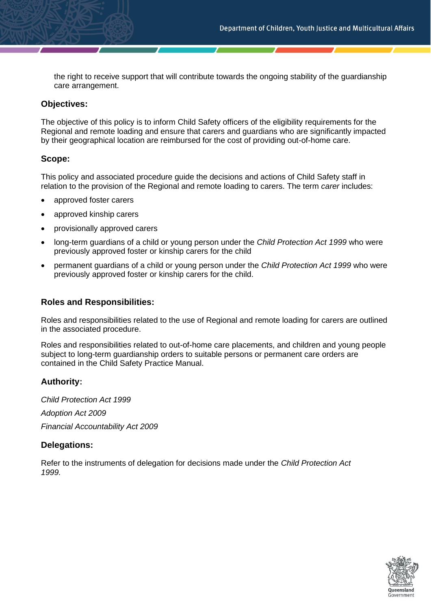the right to receive support that will contribute towards the ongoing stability of the guardianship care arrangement.

## **Objectives:**

The objective of this policy is to inform Child Safety officers of the eligibility requirements for the Regional and remote loading and ensure that carers and guardians who are significantly impacted by their geographical location are reimbursed for the cost of providing out-of-home care.

# **Scope:**

This policy and associated procedure guide the decisions and actions of Child Safety staff in relation to the provision of the Regional and remote loading to carers. The term *carer* includes:

- approved foster carers
- approved kinship carers
- provisionally approved carers
- long-term guardians of a child or young person under the *Child Protection Act 1999* who were previously approved foster or kinship carers for the child
- permanent guardians of a child or young person under the *Child Protection Act 1999* who were previously approved foster or kinship carers for the child.

## **Roles and Responsibilities:**

Roles and responsibilities related to the use of Regional and remote loading for carers are outlined in the associated procedure.

Roles and responsibilities related to out-of-home care placements, and children and young people subject to long-term guardianship orders to suitable persons or permanent care orders are contained in the Child Safety Practice Manual.

## **Authority:**

*Child Protection Act 1999 Adoption Act 2009 Financial Accountability Act 2009* 

## **Delegations:**

Refer to the instruments of delegation for decisions made under the *Child Protection Act 1999.*

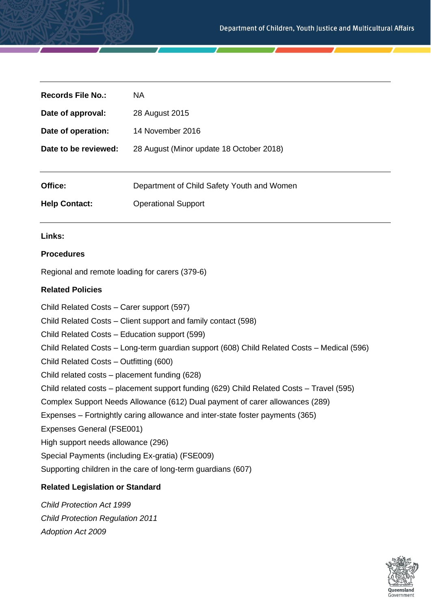| Records File No.:    | <b>NA</b>                                  |
|----------------------|--------------------------------------------|
| Date of approval:    | 28 August 2015                             |
| Date of operation:   | 14 November 2016                           |
| Date to be reviewed: | 28 August (Minor update 18 October 2018)   |
|                      |                                            |
| Office:              | Department of Child Safety Youth and Women |
| <b>Help Contact:</b> | <b>Operational Support</b>                 |

#### **Links:**

#### **Procedures**

Regional and remote loading for carers (379-6)

#### **Related Policies**

Child Related Costs – Carer support (597) Child Related Costs – Client support and family contact (598) Child Related Costs – Education support (599) Child Related Costs – Long-term guardian support (608) Child Related Costs – Medical (596) Child Related Costs – Outfitting (600) Child related costs – placement funding (628) Child related costs – placement support funding (629) Child Related Costs – Travel (595) Complex Support Needs Allowance (612) Dual payment of carer allowances (289) Expenses – Fortnightly caring allowance and inter-state foster payments (365) Expenses General (FSE001) High support needs allowance (296) Special Payments (including Ex-gratia) (FSE009) Supporting children in the care of long-term guardians (607)

# **Related Legislation or Standard**

*Child Protection Act 1999 Child Protection Regulation 2011 Adoption Act 2009* 

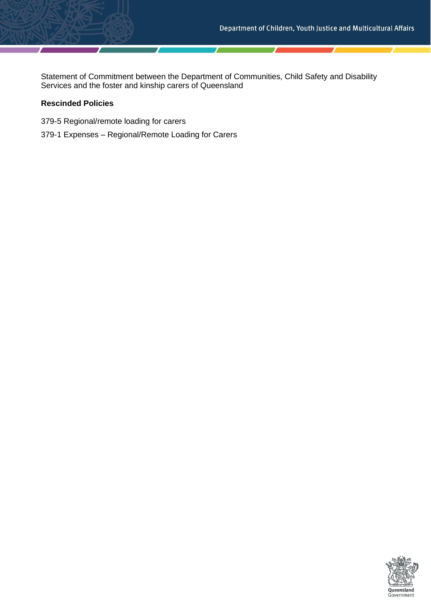Statement of Commitment between the Department of Communities, Child Safety and Disability Services and the foster and kinship carers of Queensland

## **Rescinded Policies**

- 379-5 Regional/remote loading for carers
- 379-1 Expenses Regional/Remote Loading for Carers